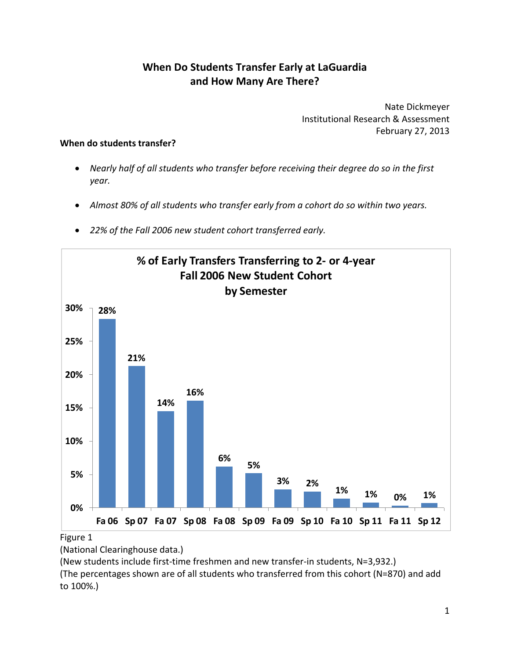# **When Do Students Transfer Early at LaGuardia and How Many Are There?**

 Nate Dickmeyer Institutional Research & Assessment February 27, 2013

#### **When do students transfer?**

- Nearly half of all students who transfer before receiving their degree do so in the first *year.*
- Almost 80% of all students who transfer early from a cohort do so within two years.
- *22% of the Fall 2006 new student cohort transferred early.*



Figure 1

(National Clearinghouse data.)

(New students include first‐time freshmen and new transfer‐in students, N=3,932.)

 (The percentages shown are of all students who transferred from this cohort (N=870) and add to 100%.)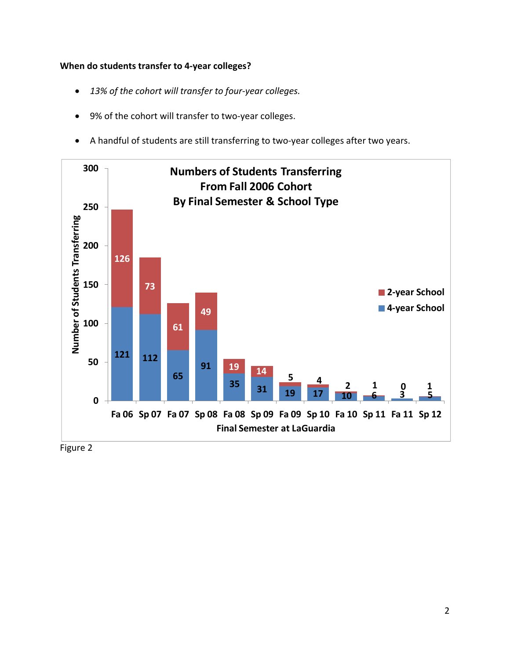#### **When do students transfer to 4‐year colleges?**

- *13% of the cohort will transfer to four‐year colleges.*
- 9% of the cohort will transfer to two-year colleges.
- A handful of students are still transferring to two‐year colleges after two years.



Figure 2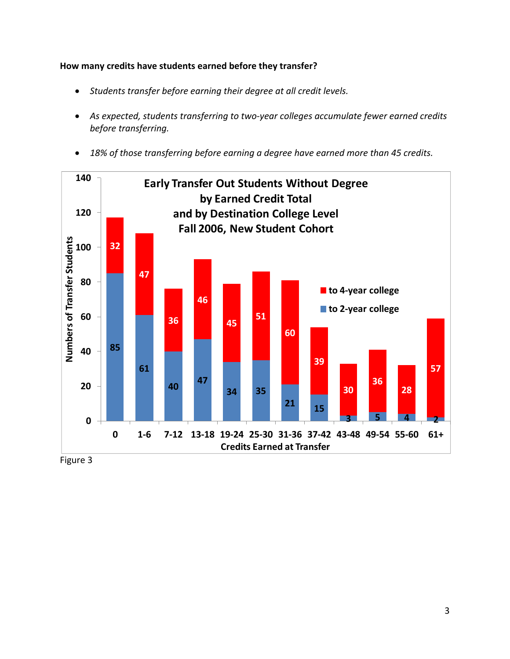## **How many credits have students earned before they transfer?**

- *Students transfer before earning their degree at all credit levels.*
- *As expected, students transferring to two‐year colleges accumulate fewer earned credits before transferring.*
- *18% of those transferring before earning a degree have earned more than 45 credits.*



Figure 3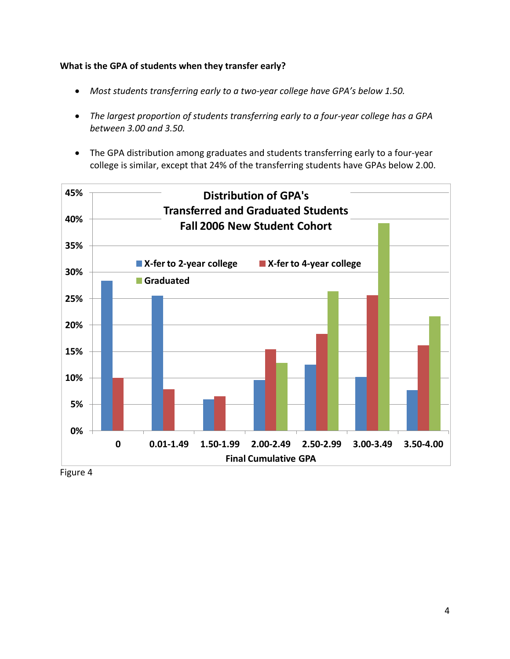**What is the GPA of students when they transfer early?**

- *Most students transferring early to a two‐year college have GPA's below 1.50.*
- The largest proportion of students transferring early to a four-year college has a GPA  *between 3.00 and 3.50.*
- The GPA distribution among graduates and students transferring early to a four‐year college is similar, except that 24% of the transferring students have GPAs below 2.00.



Figure 4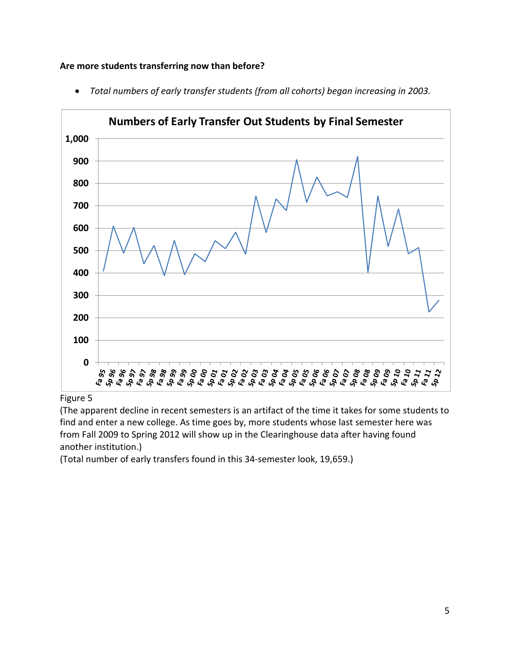## **Are more students transferring now than before?**



 *Total numbers of early transfer students (from all cohorts) began increasing in 2003.*

#### Figure 5

 (The apparent decline in recent semesters is an artifact of the time it takes for some students to find and enter a new college. As time goes by, more students whose last semester here was from Fall 2009 to Spring 2012 will show up in the Clearinghouse data after having found another institution.)

(Total number of early transfers found in this 34‐semester look, 19,659.)